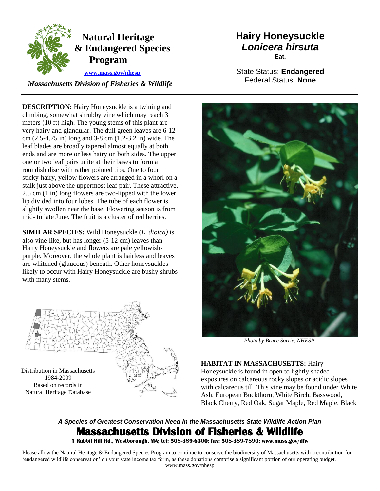

## **Natural Heritage & Endangered Species Program**

 **[www.mass.gov/nhesp](http://www.mass.gov/eea/agencies/dfg/dfw/natural-heritage/)**

 *Massachusetts Division of Fisheries & Wildlife* 

**DESCRIPTION:** Hairy Honeysuckle is a twining and climbing, somewhat shrubby vine which may reach 3 meters (10 ft) high. The young stems of this plant are very hairy and glandular. The dull green leaves are 6-12 cm (2.5-4.75 in) long and 3-8 cm (1.2-3.2 in) wide. The leaf blades are broadly tapered almost equally at both ends and are more or less hairy on both sides. The upper one or two leaf pairs unite at their bases to form a roundish disc with rather pointed tips. One to four sticky-hairy, yellow flowers are arranged in a whorl on a stalk just above the uppermost leaf pair. These attractive, 2.5 cm (1 in) long flowers are two-lipped with the lower lip divided into four lobes. The tube of each flower is slightly swollen near the base. Flowering season is from mid- to late June. The fruit is a cluster of red berries.

**SIMILAR SPECIES:** Wild Honeysuckle (*L*. *dioica)* is also vine-like, but has longer (5-12 cm) leaves than Hairy Honeysuckle and flowers are pale yellowishpurple. Moreover, the whole plant is hairless and leaves are whitened (glaucous) beneath. Other honeysuckles likely to occur with Hairy Honeysuckle are bushy shrubs with many stems.



## **Hairy Honeysuckle** *Lonicera hirsuta* **Eat.**

State Status: **Endangered** Federal Status: **None**



*Photo by Bruce Sorrie, NHESP* 

**HABITAT IN MASSACHUSETTS:** Hairy Honeysuckle is found in open to lightly shaded exposures on calcareous rocky slopes or acidic slopes with calcareous till. This vine may be found under White Ash, European Buckthorn, White Birch, Basswood, Black Cherry, Red Oak, Sugar Maple, Red Maple, Black

## *A Species of Greatest Conservation Need in the Massachusetts State Wildlife Action Plan*  **Massachusetts Division of Fisheries & Wildlife**

**1 Rabbit Hill Rd., Westborough, MA; tel: 508-389-6300; fax: 508-389-7890; www.mass.gov/dfw** 

Please allow the Natural Heritage & Endangered Species Program to continue to conserve the biodiversity of Massachusetts with a contribution for 'endangered wildlife conservation' on your state income tax form, as these donations comprise a significant portion of our operating budget. www.mass.gov/nhesp